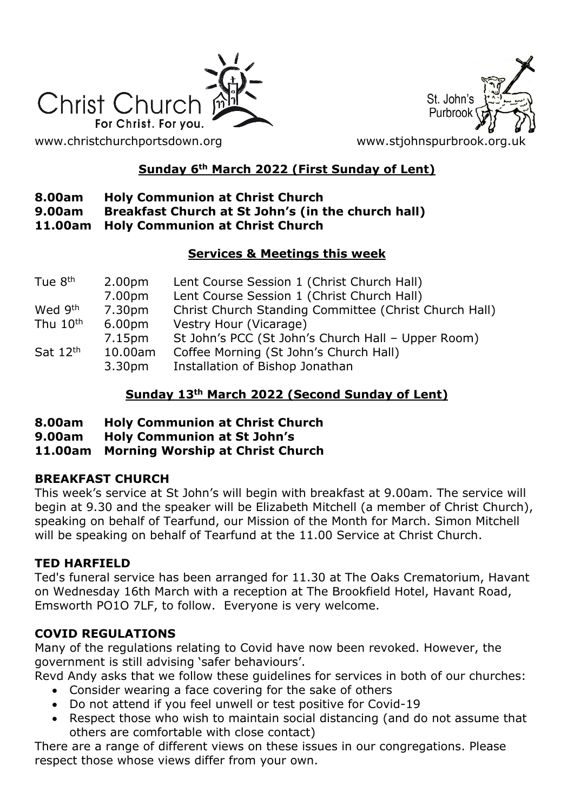

St. John's Purbroo

[www.christchurchportsdown.org](http://www.christchurchportsdown.org/) www.stjohnspurbrook.org

# **Sunday 6th March 2022 (First Sunday of Lent)**

### **8.00am Holy Communion at Christ Church**

- **9.00am Breakfast Church at St John's (in the church hall)**
- **11.00am Holy Communion at Christ Church**

### **Services & Meetings this week**

| Tue 8 <sup>th</sup> | 2.00 <sub>pm</sub> | Lent Course Session 1 (Christ Church Hall)            |
|---------------------|--------------------|-------------------------------------------------------|
|                     | 7.00pm             | Lent Course Session 1 (Christ Church Hall)            |
| Wed 9th             | 7.30pm             | Christ Church Standing Committee (Christ Church Hall) |
| Thu 10th            | 6.00 <sub>pm</sub> | Vestry Hour (Vicarage)                                |
|                     | 7.15pm             | St John's PCC (St John's Church Hall - Upper Room)    |
| Sat 12th            | 10.00am            | Coffee Morning (St John's Church Hall)                |
|                     | 3.30 <sub>pm</sub> | Installation of Bishop Jonathan                       |

### **Sunday 13th March 2022 (Second Sunday of Lent)**

- **8.00am Holy Communion at Christ Church**
- **9.00am Holy Communion at St John's**
- **11.00am Morning Worship at Christ Church**

### **BREAKFAST CHURCH**

This week's service at St John's will begin with breakfast at 9.00am. The service will begin at 9.30 and the speaker will be Elizabeth Mitchell (a member of Christ Church), speaking on behalf of Tearfund, our Mission of the Month for March. Simon Mitchell will be speaking on behalf of Tearfund at the 11.00 Service at Christ Church.

### **TED HARFIELD**

Ted's funeral service has been arranged for 11.30 at The Oaks Crematorium, Havant on Wednesday 16th March with a reception at The Brookfield Hotel, Havant Road, Emsworth PO1O 7LF, to follow. Everyone is very welcome.

# **COVID REGULATIONS**

Many of the regulations relating to Covid have now been revoked. However, the government is still advising 'safer behaviours'.

Revd Andy asks that we follow these guidelines for services in both of our churches:

- Consider wearing a face covering for the sake of others
- Do not attend if you feel unwell or test positive for Covid-19
- Respect those who wish to maintain social distancing (and do not assume that others are comfortable with close contact)

There are a range of different views on these issues in our congregations. Please respect those whose views differ from your own.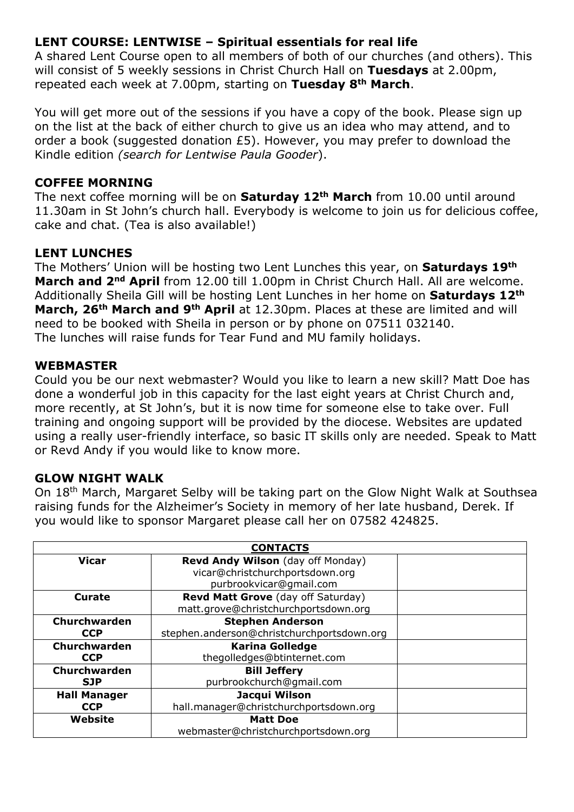# **LENT COURSE: LENTWISE – Spiritual essentials for real life**

A shared Lent Course open to all members of both of our churches (and others). This will consist of 5 weekly sessions in Christ Church Hall on **Tuesdays** at 2.00pm, repeated each week at 7.00pm, starting on **Tuesday 8th March**.

You will get more out of the sessions if you have a copy of the book. Please sign up on the list at the back of either church to give us an idea who may attend, and to order a book (suggested donation £5). However, you may prefer to download the Kindle edition *(search for Lentwise Paula Gooder*).

#### **COFFEE MORNING**

The next coffee morning will be on **Saturday 12th March** from 10.00 until around 11.30am in St John's church hall. Everybody is welcome to join us for delicious coffee, cake and chat. (Tea is also available!)

### **LENT LUNCHES**

The Mothers' Union will be hosting two Lent Lunches this year, on **Saturdays 19th March and 2nd April** from 12.00 till 1.00pm in Christ Church Hall. All are welcome. Additionally Sheila Gill will be hosting Lent Lunches in her home on **Saturdays 12th March, 26th March and 9th April** at 12.30pm. Places at these are limited and will need to be booked with Sheila in person or by phone on 07511 032140. The lunches will raise funds for Tear Fund and MU family holidays.

#### **WEBMASTER**

Could you be our next webmaster? Would you like to learn a new skill? Matt Doe has done a wonderful job in this capacity for the last eight years at Christ Church and, more recently, at St John's, but it is now time for someone else to take over. Full training and ongoing support will be provided by the diocese. Websites are updated using a really user-friendly interface, so basic IT skills only are needed. Speak to Matt or Revd Andy if you would like to know more.

### **GLOW NIGHT WALK**

On 18th March, Margaret Selby will be taking part on the Glow Night Walk at Southsea raising funds for the Alzheimer's Society in memory of her late husband, Derek. If you would like to sponsor Margaret please call her on 07582 424825.

| <b>CONTACTS</b>     |                                            |  |  |
|---------------------|--------------------------------------------|--|--|
| <b>Vicar</b>        | Revd Andy Wilson (day off Monday)          |  |  |
|                     | vicar@christchurchportsdown.org            |  |  |
|                     | purbrookvicar@gmail.com                    |  |  |
| <b>Curate</b>       | Revd Matt Grove (day off Saturday)         |  |  |
|                     | matt.grove@christchurchportsdown.org       |  |  |
| Churchwarden        | <b>Stephen Anderson</b>                    |  |  |
| <b>CCP</b>          | stephen.anderson@christchurchportsdown.org |  |  |
| Churchwarden        | <b>Karina Golledge</b>                     |  |  |
| <b>CCP</b>          | thegolledges@btinternet.com                |  |  |
| Churchwarden        | <b>Bill Jeffery</b>                        |  |  |
| <b>SJP</b>          | purbrookchurch@qmail.com                   |  |  |
| <b>Hall Manager</b> | Jacqui Wilson                              |  |  |
| <b>CCP</b>          | hall.manager@christchurchportsdown.org     |  |  |
| Website             | <b>Matt Doe</b>                            |  |  |
|                     | webmaster@christchurchportsdown.org        |  |  |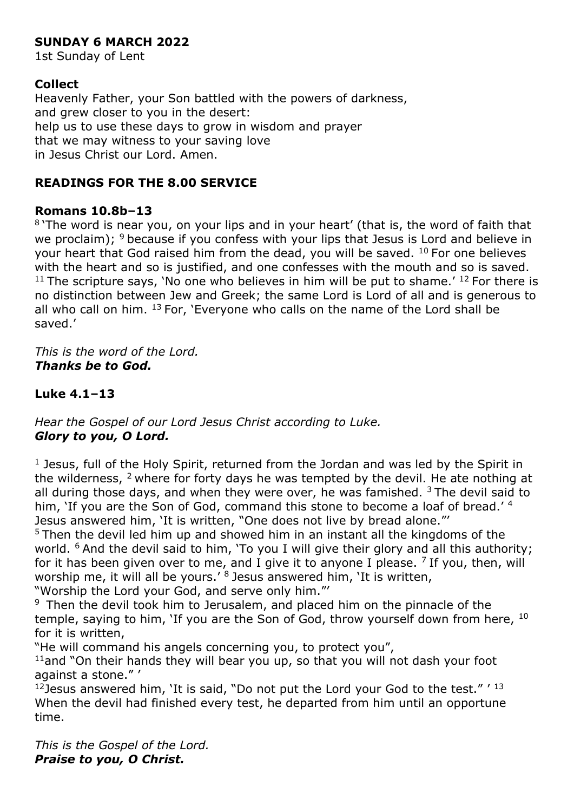# **SUNDAY 6 MARCH 2022**

1st Sunday of Lent

### **Collect**

Heavenly Father, your Son battled with the powers of darkness, and grew closer to you in the desert: help us to use these days to grow in wisdom and prayer that we may witness to your saving love in Jesus Christ our Lord. Amen.

### **READINGS FOR THE 8.00 SERVICE**

#### **Romans 10.8b–13**

<sup>8</sup>'The word is near you, on your lips and in your heart' (that is, the word of faith that we proclaim);  $9$  because if you confess with your lips that Jesus is Lord and believe in your heart that God raised him from the dead, you will be saved.  $10$  For one believes with the heart and so is justified, and one confesses with the mouth and so is saved.  $11$  The scripture says, 'No one who believes in him will be put to shame.'  $12$  For there is no distinction between Jew and Greek; the same Lord is Lord of all and is generous to all who call on him. <sup>13</sup> For, 'Everyone who calls on the name of the Lord shall be saved.'

*This is the word of the Lord. Thanks be to God.*

### **Luke 4.1–13**

*Hear the Gospel of our Lord Jesus Christ according to Luke. Glory to you, O Lord.*

 $1$  Jesus, full of the Holy Spirit, returned from the Jordan and was led by the Spirit in the wilderness,  $2$  where for forty days he was tempted by the devil. He ate nothing at all during those days, and when they were over, he was famished.  $3$  The devil said to him, 'If you are the Son of God, command this stone to become a loaf of bread.' 4 Jesus answered him, 'It is written, "One does not live by bread alone."'

<sup>5</sup> Then the devil led him up and showed him in an instant all the kingdoms of the world. <sup>6</sup> And the devil said to him, 'To you I will give their glory and all this authority; for it has been given over to me, and I give it to anyone I please.  $7$  If you, then, will worship me, it will all be yours.<sup>'8</sup> Jesus answered him, 'It is written,

"Worship the Lord your God, and serve only him."'

<sup>9</sup> Then the devil took him to Jerusalem, and placed him on the pinnacle of the temple, saying to him, 'If you are the Son of God, throw yourself down from here, <sup>10</sup> for it is written,

"He will command his angels concerning you, to protect you",

 $11$ and "On their hands they will bear you up, so that you will not dash your foot against a stone." '

 $12$  Jesus answered him, 'It is said, "Do not put the Lord your God to the test."  $'$   $13$ When the devil had finished every test, he departed from him until an opportune time.

*This is the Gospel of the Lord. Praise to you, O Christ.*